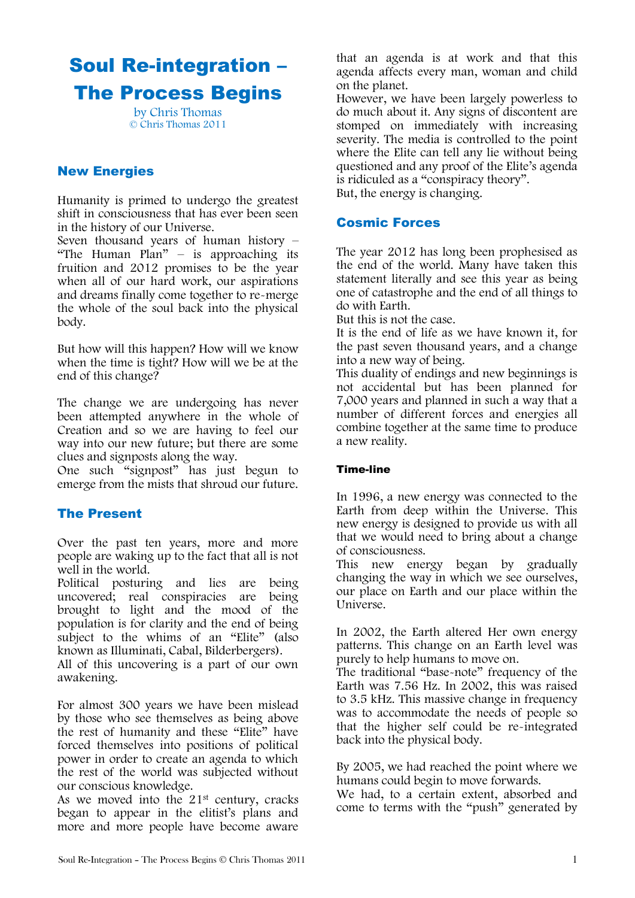# Soul Re-integration – The Process Begins

by Chris Thomas © Chris Thomas 2011

## New Energies

Humanity is primed to undergo the greatest shift in consciousness that has ever been seen in the history of our Universe.

Seven thousand years of human history – "The Human Plan"  $-$  is approaching its fruition and 2012 promises to be the year when all of our hard work, our aspirations and dreams finally come together to re-merge the whole of the soul back into the physical body.

But how will this happen? How will we know when the time is tight? How will we be at the end of this change?

The change we are undergoing has never been attempted anywhere in the whole of Creation and so we are having to feel our way into our new future; but there are some clues and signposts along the way.

One such "signpost" has just begun to emerge from the mists that shroud our future.

## The Present

Over the past ten years, more and more people are waking up to the fact that all is not well in the world.

Political posturing and lies are being uncovered; real conspiracies are being brought to light and the mood of the population is for clarity and the end of being subject to the whims of an "Elite" (also known as Illuminati, Cabal, Bilderbergers).

All of this uncovering is a part of our own awakening.

For almost 300 years we have been mislead by those who see themselves as being above the rest of humanity and these "Elite" have forced themselves into positions of political power in order to create an agenda to which the rest of the world was subjected without our conscious knowledge.

As we moved into the  $21<sup>st</sup>$  century, cracks began to appear in the elitist's plans and more and more people have become aware

that an agenda is at work and that this agenda affects every man, woman and child on the planet.

However, we have been largely powerless to do much about it. Any signs of discontent are stomped on immediately with increasing severity. The media is controlled to the point where the Elite can tell any lie without being questioned and any proof of the Elite's agenda is ridiculed as a "conspiracy theory". But, the energy is changing.

### Cosmic Forces

The year 2012 has long been prophesised as the end of the world. Many have taken this statement literally and see this year as being one of catastrophe and the end of all things to do with Earth.

But this is not the case.

It is the end of life as we have known it, for the past seven thousand years, and a change into a new way of being.

This duality of endings and new beginnings is not accidental but has been planned for 7,000 years and planned in such a way that a number of different forces and energies all combine together at the same time to produce a new reality.

#### Time-line

In 1996, a new energy was connected to the Earth from deep within the Universe. This new energy is designed to provide us with all that we would need to bring about a change of consciousness.

This new energy began by gradually changing the way in which we see ourselves, our place on Earth and our place within the Universe.

In 2002, the Earth altered Her own energy patterns. This change on an Earth level was purely to help humans to move on.

The traditional "base-note" frequency of the Earth was 7.56 Hz. In 2002, this was raised to 3.5 kHz. This massive change in frequency was to accommodate the needs of people so that the higher self could be re-integrated back into the physical body.

By 2005, we had reached the point where we humans could begin to move forwards.

We had, to a certain extent, absorbed and come to terms with the "push" generated by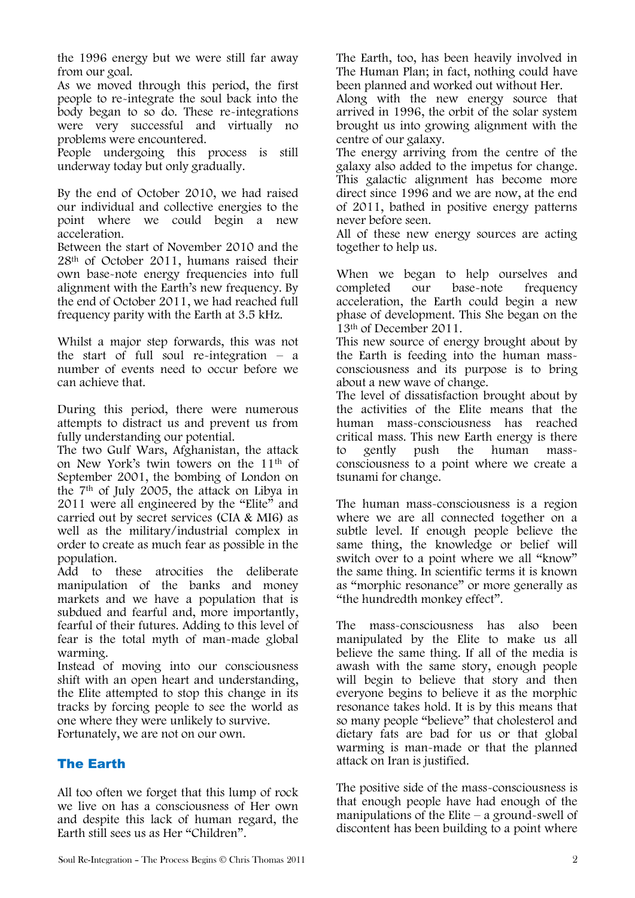the 1996 energy but we were still far away from our goal.

As we moved through this period, the first people to re-integrate the soul back into the body began to so do. These re-integrations were very successful and virtually no problems were encountered.

People undergoing this process is still underway today but only gradually.

By the end of October 2010, we had raised our individual and collective energies to the point where we could begin a new acceleration.

Between the start of November 2010 and the 28th of October 2011, humans raised their own base-note energy frequencies into full alignment with the Earth's new frequency. By the end of October 2011, we had reached full frequency parity with the Earth at 3.5 kHz.

Whilst a major step forwards, this was not the start of full soul re-integration – a number of events need to occur before we can achieve that.

During this period, there were numerous attempts to distract us and prevent us from fully understanding our potential.

The two Gulf Wars, Afghanistan, the attack on New York's twin towers on the 11th of September 2001, the bombing of London on the 7th of July 2005, the attack on Libya in 2011 were all engineered by the "Elite" and carried out by secret services (CIA & MI6) as well as the military/industrial complex in order to create as much fear as possible in the population.

Add to these atrocities the deliberate manipulation of the banks and money markets and we have a population that is subdued and fearful and, more importantly, fearful of their futures. Adding to this level of fear is the total myth of man-made global warming.

Instead of moving into our consciousness shift with an open heart and understanding, the Elite attempted to stop this change in its tracks by forcing people to see the world as one where they were unlikely to survive.

Fortunately, we are not on our own.

## The Earth

All too often we forget that this lump of rock we live on has a consciousness of Her own and despite this lack of human regard, the Earth still sees us as Her "Children".

The Earth, too, has been heavily involved in The Human Plan; in fact, nothing could have been planned and worked out without Her.

Along with the new energy source that arrived in 1996, the orbit of the solar system brought us into growing alignment with the centre of our galaxy.

The energy arriving from the centre of the galaxy also added to the impetus for change. This galactic alignment has become more direct since 1996 and we are now, at the end of 2011, bathed in positive energy patterns never before seen.

All of these new energy sources are acting together to help us.

When we began to help ourselves and<br>completed our base-note frequency completed our base-note frequency acceleration, the Earth could begin a new phase of development. This She began on the 13th of December 2011.

This new source of energy brought about by the Earth is feeding into the human massconsciousness and its purpose is to bring about a new wave of change.

The level of dissatisfaction brought about by the activities of the Elite means that the human mass-consciousness has reached critical mass. This new Earth energy is there<br>to gently push the human massto gently push the human massconsciousness to a point where we create a tsunami for change.

The human mass-consciousness is a region where we are all connected together on a subtle level. If enough people believe the same thing, the knowledge or belief will switch over to a point where we all "know" the same thing. In scientific terms it is known as "morphic resonance" or more generally as "the hundredth monkey effect".

The mass-consciousness has also been manipulated by the Elite to make us all believe the same thing. If all of the media is awash with the same story, enough people will begin to believe that story and then everyone begins to believe it as the morphic resonance takes hold. It is by this means that so many people "believe" that cholesterol and dietary fats are bad for us or that global warming is man-made or that the planned attack on Iran is justified.

The positive side of the mass-consciousness is that enough people have had enough of the manipulations of the Elite – a ground-swell of discontent has been building to a point where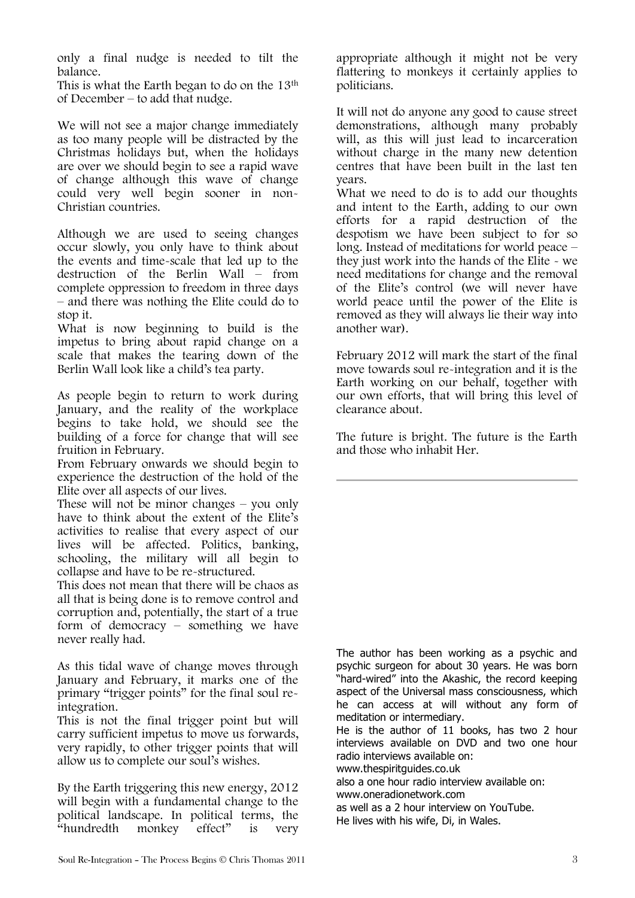only a final nudge is needed to tilt the balance.

This is what the Earth began to do on the 13th of December – to add that nudge.

We will not see a major change immediately as too many people will be distracted by the Christmas holidays but, when the holidays are over we should begin to see a rapid wave of change although this wave of change could very well begin sooner in non-Christian countries.

Although we are used to seeing changes occur slowly, you only have to think about the events and time-scale that led up to the destruction of the Berlin Wall – from complete oppression to freedom in three days – and there was nothing the Elite could do to stop it.

What is now beginning to build is the impetus to bring about rapid change on a scale that makes the tearing down of the Berlin Wall look like a child's tea party.

As people begin to return to work during January, and the reality of the workplace begins to take hold, we should see the building of a force for change that will see fruition in February.

From February onwards we should begin to experience the destruction of the hold of the Elite over all aspects of our lives.

These will not be minor changes – you only have to think about the extent of the Elite's activities to realise that every aspect of our lives will be affected. Politics, banking, schooling, the military will all begin to collapse and have to be re-structured.

This does not mean that there will be chaos as all that is being done is to remove control and corruption and, potentially, the start of a true form of democracy – something we have never really had.

As this tidal wave of change moves through January and February, it marks one of the primary "trigger points" for the final soul reintegration.

This is not the final trigger point but will carry sufficient impetus to move us forwards, very rapidly, to other trigger points that will allow us to complete our soul's wishes.

By the Earth triggering this new energy, 2012 will begin with a fundamental change to the political landscape. In political terms, the "hundredth monkey effect" is very

appropriate although it might not be very flattering to monkeys it certainly applies to politicians.

It will not do anyone any good to cause street demonstrations, although many probably will, as this will just lead to incarceration without charge in the many new detention centres that have been built in the last ten years.

What we need to do is to add our thoughts and intent to the Earth, adding to our own efforts for a rapid destruction of the despotism we have been subject to for so long. Instead of meditations for world peace – they just work into the hands of the Elite - we need meditations for change and the removal of the Elite's control (we will never have world peace until the power of the Elite is removed as they will always lie their way into another war).

February 2012 will mark the start of the final move towards soul re-integration and it is the Earth working on our behalf, together with our own efforts, that will bring this level of clearance about.

The future is bright. The future is the Earth and those who inhabit Her.

The author has been working as a psychic and psychic surgeon for about 30 years. He was born "hard-wired" into the Akashic, the record keeping aspect of the Universal mass consciousness, which he can access at will without any form of meditation or intermediary.

He is the author of 11 books, has two 2 hour interviews available on DVD and two one hour radio interviews available on:

www.thespiritguides.co.uk

also a one hour radio interview available on:

www.oneradionetwork.com

as well as a 2 hour interview on YouTube. He lives with his wife, Di, in Wales.